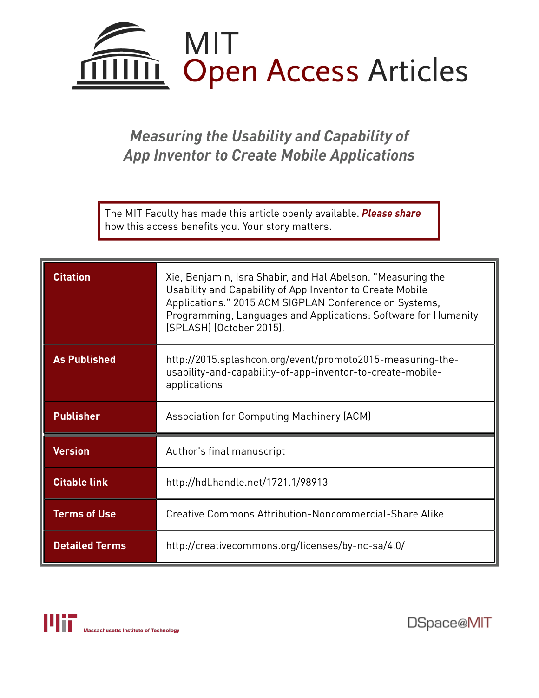

*Measuring the Usability and Capability of App Inventor to Create Mobile Applications*

The MIT Faculty has made this article openly available. *[Please](https://libraries.mit.edu/forms/dspace-oa-articles.html) share* how this access benefits you. Your story matters.

| <b>Citation</b>       | Xie, Benjamin, Isra Shabir, and Hal Abelson. "Measuring the<br>Usability and Capability of App Inventor to Create Mobile<br>Applications." 2015 ACM SIGPLAN Conference on Systems,<br>Programming, Languages and Applications: Software for Humanity<br>(SPLASH) (October 2015). |  |  |  |  |  |
|-----------------------|----------------------------------------------------------------------------------------------------------------------------------------------------------------------------------------------------------------------------------------------------------------------------------|--|--|--|--|--|
| <b>As Published</b>   | http://2015.splashcon.org/event/promoto2015-measuring-the-<br>usability-and-capability-of-app-inventor-to-create-mobile-<br>applications                                                                                                                                         |  |  |  |  |  |
| <b>Publisher</b>      | Association for Computing Machinery (ACM)                                                                                                                                                                                                                                        |  |  |  |  |  |
| <b>Version</b>        | Author's final manuscript                                                                                                                                                                                                                                                        |  |  |  |  |  |
| <b>Citable link</b>   | http://hdl.handle.net/1721.1/98913                                                                                                                                                                                                                                               |  |  |  |  |  |
| <b>Terms of Use</b>   | Creative Commons Attribution-Noncommercial-Share Alike                                                                                                                                                                                                                           |  |  |  |  |  |
| <b>Detailed Terms</b> | http://creativecommons.org/licenses/by-nc-sa/4.0/                                                                                                                                                                                                                                |  |  |  |  |  |

DSpace@MIT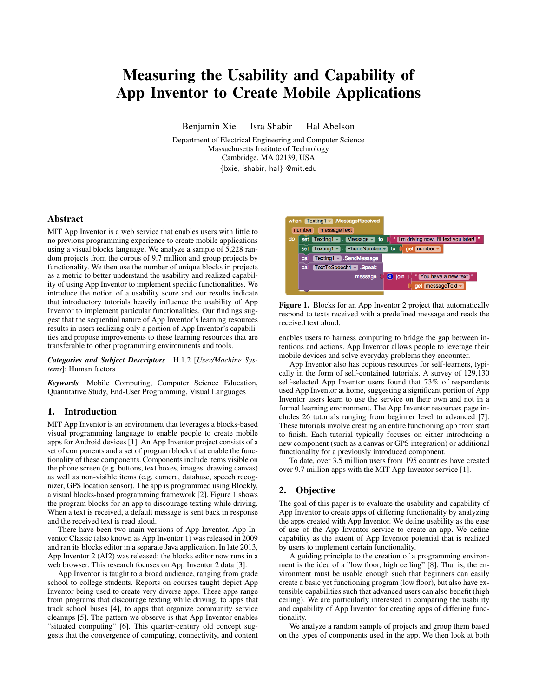# Measuring the Usability and Capability of App Inventor to Create Mobile Applications

Benjamin Xie Isra Shabir Hal Abelson

Department of Electrical Engineering and Computer Science Massachusetts Institute of Technology Cambridge, MA 02139, USA {bxie, ishabir, hal} @mit.edu

# Abstract

MIT App Inventor is a web service that enables users with little to no previous programming experience to create mobile applications using a visual blocks language. We analyze a sample of 5,228 random projects from the corpus of 9.7 million and group projects by functionality. We then use the number of unique blocks in projects as a metric to better understand the usability and realized capability of using App Inventor to implement specific functionalities. We introduce the notion of a usability score and our results indicate that introductory tutorials heavily influence the usability of App Inventor to implement particular functionalities. Our findings suggest that the sequential nature of App Inventor's learning resources results in users realizing only a portion of App Inventor's capabilities and propose improvements to these learning resources that are transferable to other programming environments and tools.

*Categories and Subject Descriptors* H.1.2 [*User/Machine Systems*]: Human factors

*Keywords* Mobile Computing, Computer Science Education, Quantitative Study, End-User Programming, Visual Languages

## 1. Introduction

MIT App Inventor is an environment that leverages a blocks-based visual programming language to enable people to create mobile apps for Android devices [1]. An App Inventor project consists of a set of components and a set of program blocks that enable the functionality of these components. Components include items visible on the phone screen (e.g. buttons, text boxes, images, drawing canvas) as well as non-visible items (e.g. camera, database, speech recognizer, GPS location sensor). The app is programmed using Blockly, a visual blocks-based programming framework [2]. Figure 1 shows the program blocks for an app to discourage texting while driving. When a text is received, a default message is sent back in response and the received text is read aloud.

There have been two main versions of App Inventor. App Inventor Classic (also known as App Inventor 1) was released in 2009 and ran its blocks editor in a separate Java application. In late 2013, App Inventor 2 (AI2) was released; the blocks editor now runs in a web browser. This research focuses on App Inventor 2 data [3].

App Inventor is taught to a broad audience, ranging from grade school to college students. Reports on courses taught depict App Inventor being used to create very diverse apps. These apps range from programs that discourage texting while driving, to apps that track school buses [4], to apps that organize community service cleanups [5]. The pattern we observe is that App Inventor enables "situated computing" [6]. This quarter-century old concept suggests that the convergence of computing, connectivity, and content



Figure 1. Blocks for an App Inventor 2 project that automatically respond to texts received with a predefined message and reads the received text aloud.

enables users to harness computing to bridge the gap between intentions and actions. App Inventor allows people to leverage their mobile devices and solve everyday problems they encounter.

App Inventor also has copious resources for self-learners, typically in the form of self-contained tutorials. A survey of 129,130 self-selected App Inventor users found that 73% of respondents used App Inventor at home, suggesting a significant portion of App Inventor users learn to use the service on their own and not in a formal learning environment. The App Inventor resources page includes 26 tutorials ranging from beginner level to advanced [7]. These tutorials involve creating an entire functioning app from start to finish. Each tutorial typically focuses on either introducing a new component (such as a canvas or GPS integration) or additional functionality for a previously introduced component.

To date, over 3.5 million users from 195 countries have created over 9.7 million apps with the MIT App Inventor service [1].

## 2. Objective

The goal of this paper is to evaluate the usability and capability of App Inventor to create apps of differing functionality by analyzing the apps created with App Inventor. We define usability as the ease of use of the App Inventor service to create an app. We define capability as the extent of App Inventor potential that is realized by users to implement certain functionality.

A guiding principle to the creation of a programming environment is the idea of a "low floor, high ceiling" [8]. That is, the environment must be usable enough such that beginners can easily create a basic yet functioning program (low floor), but also have extensible capabilities such that advanced users can also benefit (high ceiling). We are particularly interested in comparing the usability and capability of App Inventor for creating apps of differing functionality.

We analyze a random sample of projects and group them based on the types of components used in the app. We then look at both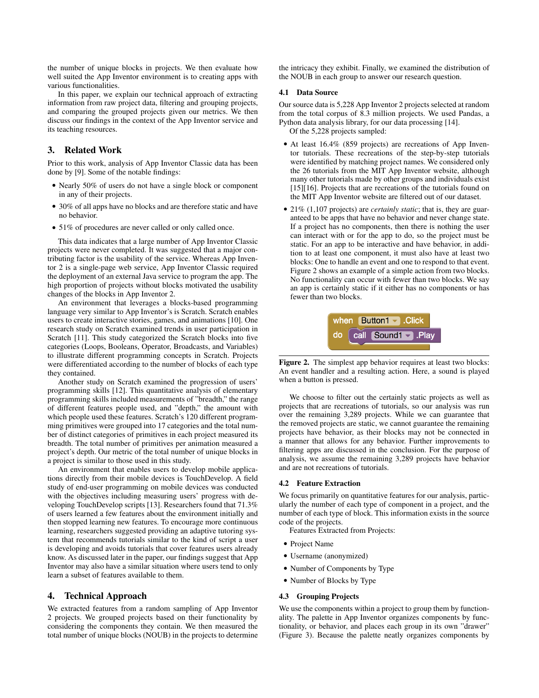the number of unique blocks in projects. We then evaluate how well suited the App Inventor environment is to creating apps with various functionalities.

In this paper, we explain our technical approach of extracting information from raw project data, filtering and grouping projects, and comparing the grouped projects given our metrics. We then discuss our findings in the context of the App Inventor service and its teaching resources.

# 3. Related Work

Prior to this work, analysis of App Inventor Classic data has been done by [9]. Some of the notable findings:

- Nearly 50% of users do not have a single block or component in any of their projects.
- 30% of all apps have no blocks and are therefore static and have no behavior.
- 51% of procedures are never called or only called once.

This data indicates that a large number of App Inventor Classic projects were never completed. It was suggested that a major contributing factor is the usability of the service. Whereas App Inventor 2 is a single-page web service, App Inventor Classic required the deployment of an external Java service to program the app. The high proportion of projects without blocks motivated the usability changes of the blocks in App Inventor 2.

An environment that leverages a blocks-based programming language very similar to App Inventor's is Scratch. Scratch enables users to create interactive stories, games, and animations [10]. One research study on Scratch examined trends in user participation in Scratch [11]. This study categorized the Scratch blocks into five categories (Loops, Booleans, Operator, Broadcasts, and Variables) to illustrate different programming concepts in Scratch. Projects were differentiated according to the number of blocks of each type they contained.

Another study on Scratch examined the progression of users' programming skills [12]. This quantitative analysis of elementary programming skills included measurements of "breadth," the range of different features people used, and "depth," the amount with which people used these features. Scratch's 120 different programming primitives were grouped into 17 categories and the total number of distinct categories of primitives in each project measured its breadth. The total number of primitives per animation measured a project's depth. Our metric of the total number of unique blocks in a project is similar to those used in this study.

An environment that enables users to develop mobile applications directly from their mobile devices is TouchDevelop. A field study of end-user programming on mobile devices was conducted with the objectives including measuring users' progress with developing TouchDevelop scripts [13]. Researchers found that 71.3% of users learned a few features about the environment initially and then stopped learning new features. To encourage more continuous learning, researchers suggested providing an adaptive tutoring system that recommends tutorials similar to the kind of script a user is developing and avoids tutorials that cover features users already know. As discussed later in the paper, our findings suggest that App Inventor may also have a similar situation where users tend to only learn a subset of features available to them.

## 4. Technical Approach

We extracted features from a random sampling of App Inventor 2 projects. We grouped projects based on their functionality by considering the components they contain. We then measured the total number of unique blocks (NOUB) in the projects to determine the intricacy they exhibit. Finally, we examined the distribution of the NOUB in each group to answer our research question.

#### 4.1 Data Source

Our source data is 5,228 App Inventor 2 projects selected at random from the total corpus of 8.3 million projects. We used Pandas, a Python data analysis library, for our data processing [14]. Of the 5,228 projects sampled:

- At least 16.4% (859 projects) are recreations of App Inventor tutorials. These recreations of the step-by-step tutorials were identified by matching project names. We considered only the 26 tutorials from the MIT App Inventor website, although many other tutorials made by other groups and individuals exist [15][16]. Projects that are recreations of the tutorials found on the MIT App Inventor website are filtered out of our dataset.
- 21% (1,107 projects) are *certainly static*; that is, they are guaranteed to be apps that have no behavior and never change state. If a project has no components, then there is nothing the user can interact with or for the app to do, so the project must be static. For an app to be interactive and have behavior, in addition to at least one component, it must also have at least two blocks: One to handle an event and one to respond to that event. Figure 2 shows an example of a simple action from two blocks. No functionality can occur with fewer than two blocks. We say an app is certainly static if it either has no components or has fewer than two blocks.



Figure 2. The simplest app behavior requires at least two blocks: An event handler and a resulting action. Here, a sound is played when a button is pressed.

We choose to filter out the certainly static projects as well as projects that are recreations of tutorials, so our analysis was run over the remaining 3,289 projects. While we can guarantee that the removed projects are static, we cannot guarantee the remaining projects have behavior, as their blocks may not be connected in a manner that allows for any behavior. Further improvements to filtering apps are discussed in the conclusion. For the purpose of analysis, we assume the remaining 3,289 projects have behavior and are not recreations of tutorials.

#### 4.2 Feature Extraction

We focus primarily on quantitative features for our analysis, particularly the number of each type of component in a project, and the number of each type of block. This information exists in the source code of the projects.

Features Extracted from Projects:

- Project Name
- Username (anonymized)
- Number of Components by Type
- Number of Blocks by Type

## 4.3 Grouping Projects

We use the components within a project to group them by functionality. The palette in App Inventor organizes components by functionality, or behavior, and places each group in its own "drawer" (Figure 3). Because the palette neatly organizes components by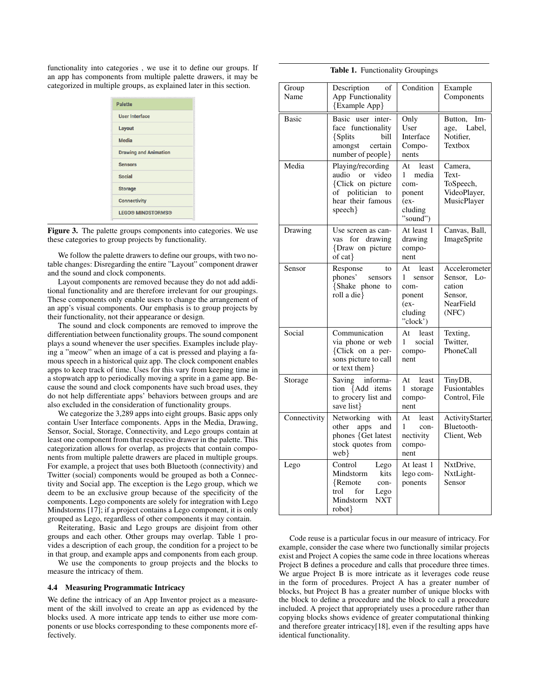functionality into categories , we use it to define our groups. If an app has components from multiple palette drawers, it may be categorized in multiple groups, as explained later in this section.

| <b>Palette</b>               |
|------------------------------|
| <b>User Interface</b>        |
| Layout                       |
| Media                        |
| <b>Drawing and Animation</b> |
| <b>Sensors</b>               |
| <b>Social</b>                |
| <b>Storage</b>               |
| <b>Connectivity</b>          |
| <b>LEGO® MINDSTORMS®</b>     |



We follow the palette drawers to define our groups, with two notable changes: Disregarding the entire "Layout" component drawer and the sound and clock components.

Layout components are removed because they do not add additional functionality and are therefore irrelevant for our groupings. These components only enable users to change the arrangement of an app's visual components. Our emphasis is to group projects by their functionality, not their appearance or design.

The sound and clock components are removed to improve the differentiation between functionality groups. The sound component plays a sound whenever the user specifies. Examples include playing a "meow" when an image of a cat is pressed and playing a famous speech in a historical quiz app. The clock component enables apps to keep track of time. Uses for this vary from keeping time in a stopwatch app to periodically moving a sprite in a game app. Because the sound and clock components have such broad uses, they do not help differentiate apps' behaviors between groups and are also excluded in the consideration of functionality groups.

We categorize the 3,289 apps into eight groups. Basic apps only contain User Interface components. Apps in the Media, Drawing, Sensor, Social, Storage, Connectivity, and Lego groups contain at least one component from that respective drawer in the palette. This categorization allows for overlap, as projects that contain components from multiple palette drawers are placed in multiple groups. For example, a project that uses both Bluetooth (connectivity) and Twitter (social) components would be grouped as both a Connectivity and Social app. The exception is the Lego group, which we deem to be an exclusive group because of the specificity of the components. Lego components are solely for integration with Lego Mindstorms [17]; if a project contains a Lego component, it is only grouped as Lego, regardless of other components it may contain.

Reiterating, Basic and Lego groups are disjoint from other groups and each other. Other groups may overlap. Table 1 provides a description of each group, the condition for a project to be in that group, and example apps and components from each group.

We use the components to group projects and the blocks to measure the intricacy of them.

#### 4.4 Measuring Programmatic Intricacy

We define the intricacy of an App Inventor project as a measurement of the skill involved to create an app as evidenced by the blocks used. A more intricate app tends to either use more components or use blocks corresponding to these components more effectively.

| <b>Table 1.</b> Functionality Groupings |  |
|-----------------------------------------|--|
|                                         |  |
|                                         |  |

| Group<br>Name | Description<br>of<br>App Functionality<br>{Example App}                                                                 | Condition                                                                     | Example<br>Components                                                        |
|---------------|-------------------------------------------------------------------------------------------------------------------------|-------------------------------------------------------------------------------|------------------------------------------------------------------------------|
| Basic         | Basic user inter-<br>face functionality<br>{Splits<br>bill<br>amongst<br>certain<br>number of people}                   | Only<br>User<br>Interface<br>Compo-<br>nents                                  | Button,<br>Im-<br>Label,<br>age,<br>Notifier.<br>Textbox                     |
| Media         | Playing/recording<br>or video<br>audio<br>{Click on picture<br>of politician<br>to<br>hear their famous<br>$\{speedh\}$ | At<br>least<br>1<br>media<br>com-<br>ponent<br>$(ex-$<br>cluding<br>"sound")  | Camera,<br>Text-<br>ToSpeech,<br>VideoPlayer,<br>MusicPlayer                 |
| Drawing       | Use screen as can-<br>vas for<br>drawing<br>Draw on picture<br>of cat}                                                  | At least 1<br>drawing<br>compo-<br>nent                                       | Canvas, Ball,<br>ImageSprite                                                 |
| Sensor        | Response<br>to<br>phones'<br>sensors<br>{Shake phone to<br>roll a die}                                                  | At<br>least<br>1<br>sensor<br>com-<br>ponent<br>$(ex-$<br>cluding<br>"clock") | Accelerometer<br>Sensor,<br>$Lo-$<br>cation<br>Sensor.<br>NearField<br>(NFC) |
| Social        | Communication<br>via phone or web<br>{Click on a per-<br>sons picture to call<br>or text them}                          | least<br>At<br>1<br>social<br>compo-<br>nent                                  | Texting,<br>Twitter,<br>PhoneCall                                            |
| Storage       | informa-<br>Saving<br>tion {Add items<br>to grocery list and<br>save list}                                              | least<br>At<br>1 storage<br>compo-<br>nent                                    | TinyDB,<br>Fusiontables<br>Control, File                                     |
| Connectivity  | Networking<br>with<br>other<br>apps<br>and<br>phones {Get latest<br>stock quotes from<br>web}                           | At<br>least<br>1<br>con-<br>nectivity<br>compo-<br>nent                       | ActivityStarter.<br>Bluetooth-<br>Client, Web                                |
| Lego          | Control<br>Lego<br>Mindstorm<br>kits<br>{Remote<br>con-<br>trol<br>for<br>Lego<br>Mindstorm<br>NXT<br>robot }           | At least 1<br>lego com-<br>ponents                                            | NxtDrive,<br>NxtLight-<br>Sensor                                             |

Code reuse is a particular focus in our measure of intricacy. For example, consider the case where two functionally similar projects exist and Project A copies the same code in three locations whereas Project B defines a procedure and calls that procedure three times. We argue Project B is more intricate as it leverages code reuse in the form of procedures. Project A has a greater number of blocks, but Project B has a greater number of unique blocks with the block to define a procedure and the block to call a procedure included. A project that appropriately uses a procedure rather than copying blocks shows evidence of greater computational thinking and therefore greater intricacy[18], even if the resulting apps have identical functionality.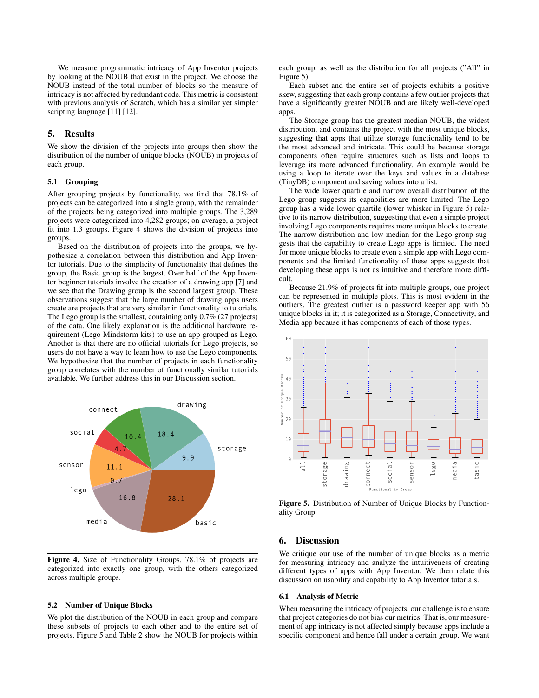We measure programmatic intricacy of App Inventor projects by looking at the NOUB that exist in the project. We choose the NOUB instead of the total number of blocks so the measure of intricacy is not affected by redundant code. This metric is consistent with previous analysis of Scratch, which has a similar yet simpler scripting language [11] [12].

## 5. Results

We show the division of the projects into groups then show the distribution of the number of unique blocks (NOUB) in projects of each group.

#### 5.1 Grouping

After grouping projects by functionality, we find that 78.1% of projects can be categorized into a single group, with the remainder of the projects being categorized into multiple groups. The 3,289 projects were categorized into 4,282 groups; on average, a project fit into 1.3 groups. Figure 4 shows the division of projects into groups.

Based on the distribution of projects into the groups, we hypothesize a correlation between this distribution and App Inventor tutorials. Due to the simplicity of functionality that defines the group, the Basic group is the largest. Over half of the App Inventor beginner tutorials involve the creation of a drawing app [7] and we see that the Drawing group is the second largest group. These observations suggest that the large number of drawing apps users create are projects that are very similar in functionality to tutorials. The Lego group is the smallest, containing only 0.7% (27 projects) of the data. One likely explanation is the additional hardware requirement (Lego Mindstorm kits) to use an app grouped as Lego. Another is that there are no official tutorials for Lego projects, so users do not have a way to learn how to use the Lego components. We hypothesize that the number of projects in each functionality group correlates with the number of functionally similar tutorials available. We further address this in our Discussion section.



Figure 4. Size of Functionality Groups. 78.1% of projects are categorized into exactly one group, with the others categorized across multiple groups.

## 5.2 Number of Unique Blocks

We plot the distribution of the NOUB in each group and compare these subsets of projects to each other and to the entire set of projects. Figure 5 and Table 2 show the NOUB for projects within each group, as well as the distribution for all projects ("All" in Figure 5).

Each subset and the entire set of projects exhibits a positive skew, suggesting that each group contains a few outlier projects that have a significantly greater NOUB and are likely well-developed apps.

The Storage group has the greatest median NOUB, the widest distribution, and contains the project with the most unique blocks, suggesting that apps that utilize storage functionality tend to be the most advanced and intricate. This could be because storage components often require structures such as lists and loops to leverage its more advanced functionality. An example would be using a loop to iterate over the keys and values in a database (TinyDB) component and saving values into a list.

The wide lower quartile and narrow overall distribution of the Lego group suggests its capabilities are more limited. The Lego group has a wide lower quartile (lower whisker in Figure 5) relative to its narrow distribution, suggesting that even a simple project involving Lego components requires more unique blocks to create. The narrow distribution and low median for the Lego group suggests that the capability to create Lego apps is limited. The need for more unique blocks to create even a simple app with Lego components and the limited functionality of these apps suggests that developing these apps is not as intuitive and therefore more difficult.

Because 21.9% of projects fit into multiple groups, one project can be represented in multiple plots. This is most evident in the outliers. The greatest outlier is a password keeper app with 56 unique blocks in it; it is categorized as a Storage, Connectivity, and Media app because it has components of each of those types.



Figure 5. Distribution of Number of Unique Blocks by Functionality Group

## 6. Discussion

We critique our use of the number of unique blocks as a metric for measuring intricacy and analyze the intuitiveness of creating different types of apps with App Inventor. We then relate this discussion on usability and capability to App Inventor tutorials.

## 6.1 Analysis of Metric

When measuring the intricacy of projects, our challenge is to ensure that project categories do not bias our metrics. That is, our measurement of app intricacy is not affected simply because apps include a specific component and hence fall under a certain group. We want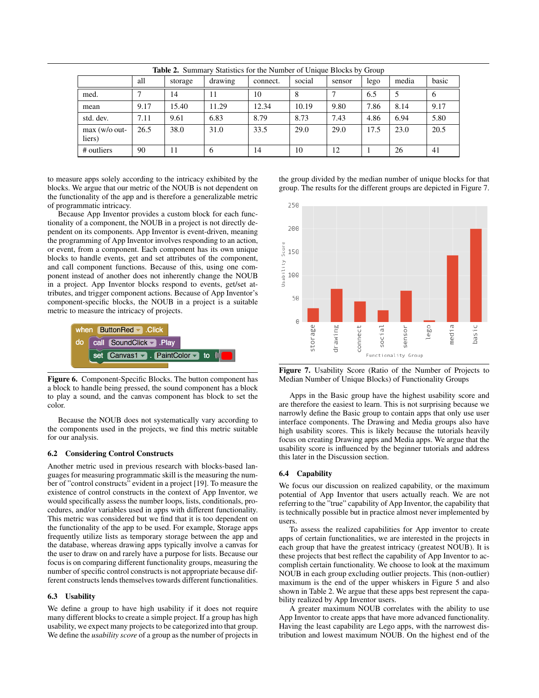| <b>Table 2.</b> Summary Statistics for the Number of Unique Blocks by Group |      |         |         |          |        |        |      |       |       |
|-----------------------------------------------------------------------------|------|---------|---------|----------|--------|--------|------|-------|-------|
|                                                                             | all  | storage | drawing | connect. | social | sensor | lego | media | basic |
| med.                                                                        |      | 14      | 11      | 10       | 8      |        | 6.5  |       | 6     |
| mean                                                                        | 9.17 | 15.40   | 11.29   | 12.34    | 10.19  | 9.80   | 7.86 | 8.14  | 9.17  |
| std. dev.                                                                   | 7.11 | 9.61    | 6.83    | 8.79     | 8.73   | 7.43   | 4.86 | 6.94  | 5.80  |
| $max(w/o out-$<br>liers)                                                    | 26.5 | 38.0    | 31.0    | 33.5     | 29.0   | 29.0   | 17.5 | 23.0  | 20.5  |
| # outliers                                                                  | 90   | 11      | 6       | 14       | 10     | 12     |      | 26    | 41    |

to measure apps solely according to the intricacy exhibited by the blocks. We argue that our metric of the NOUB is not dependent on the functionality of the app and is therefore a generalizable metric of programmatic intricacy.

Because App Inventor provides a custom block for each functionality of a component, the NOUB in a project is not directly dependent on its components. App Inventor is event-driven, meaning the programming of App Inventor involves responding to an action, or event, from a component. Each component has its own unique blocks to handle events, get and set attributes of the component, and call component functions. Because of this, using one component instead of another does not inherently change the NOUB in a project. App Inventor blocks respond to events, get/set attributes, and trigger component actions. Because of App Inventor's component-specific blocks, the NOUB in a project is a suitable metric to measure the intricacy of projects.



Figure 6. Component-Specific Blocks. The button component has a block to handle being pressed, the sound component has a block to play a sound, and the canvas component has block to set the color.

Because the NOUB does not systematically vary according to the components used in the projects, we find this metric suitable for our analysis.

## 6.2 Considering Control Constructs

Another metric used in previous research with blocks-based languages for measuring programmatic skill is the measuring the number of "control constructs" evident in a project [19]. To measure the existence of control constructs in the context of App Inventor, we would specifically assess the number loops, lists, conditionals, procedures, and/or variables used in apps with different functionality. This metric was considered but we find that it is too dependent on the functionality of the app to be used. For example, Storage apps frequently utilize lists as temporary storage between the app and the database, whereas drawing apps typically involve a canvas for the user to draw on and rarely have a purpose for lists. Because our focus is on comparing different functionality groups, measuring the number of specific control constructs is not appropriate because different constructs lends themselves towards different functionalities.

#### 6.3 Usability

We define a group to have high usability if it does not require many different blocks to create a simple project. If a group has high usability, we expect many projects to be categorized into that group. We define the *usability score* of a group as the number of projects in the group divided by the median number of unique blocks for that group. The results for the different groups are depicted in Figure 7.





Apps in the Basic group have the highest usability score and are therefore the easiest to learn. This is not surprising because we narrowly define the Basic group to contain apps that only use user interface components. The Drawing and Media groups also have high usability scores. This is likely because the tutorials heavily focus on creating Drawing apps and Media apps. We argue that the usability score is influenced by the beginner tutorials and address this later in the Discussion section.

#### 6.4 Capability

We focus our discussion on realized capability, or the maximum potential of App Inventor that users actually reach. We are not referring to the "true" capability of App Inventor, the capability that is technically possible but in practice almost never implemented by users.

To assess the realized capabilities for App inventor to create apps of certain functionalities, we are interested in the projects in each group that have the greatest intricacy (greatest NOUB). It is these projects that best reflect the capability of App Inventor to accomplish certain functionality. We choose to look at the maximum NOUB in each group excluding outlier projects. This (non-outlier) maximum is the end of the upper whiskers in Figure 5 and also shown in Table 2. We argue that these apps best represent the capability realized by App Inventor users.

A greater maximum NOUB correlates with the ability to use App Inventor to create apps that have more advanced functionality. Having the least capability are Lego apps, with the narrowest distribution and lowest maximum NOUB. On the highest end of the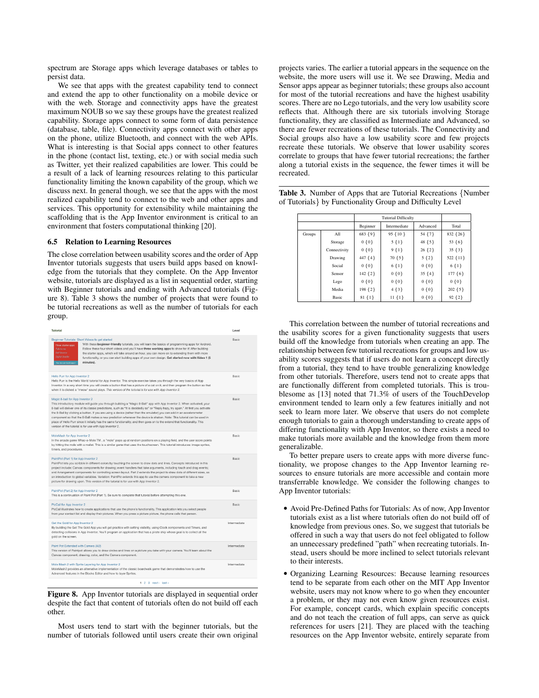spectrum are Storage apps which leverage databases or tables to persist data.

We see that apps with the greatest capability tend to connect and extend the app to other functionality on a mobile device or with the web. Storage and connectivity apps have the greatest maximum NOUB so we say these groups have the greatest realized capability. Storage apps connect to some form of data persistence (database, table, file). Connectivity apps connect with other apps on the phone, utilize Bluetooth, and connect with the web APIs. What is interesting is that Social apps connect to other features in the phone (contact list, texting, etc.) or with social media such as Twitter, yet their realized capabilities are lower. This could be a result of a lack of learning resources relating to this particular functionality limiting the known capability of the group, which we discuss next. In general though, we see that the apps with the most realized capability tend to connect to the web and other apps and services. This opportunity for extensibility while maintaining the scaffolding that is the App Inventor environment is critical to an environment that fosters computational thinking [20].

#### 6.5 Relation to Learning Resources

The close correlation between usability scores and the order of App Inventor tutorials suggests that users build apps based on knowledge from the tutorials that they complete. On the App Inventor website, tutorials are displayed as a list in sequential order, starting with Beginner tutorials and ending with Advanced tutorials (Figure 8). Table 3 shows the number of projects that were found to be tutorial recreations as well as the number of tutorials for each group.

| Tutorial                                                                                                                                                                                                                                                                                                                                                                                                                                                                                                                                                                                                                                                                                                                                    | Level        |
|---------------------------------------------------------------------------------------------------------------------------------------------------------------------------------------------------------------------------------------------------------------------------------------------------------------------------------------------------------------------------------------------------------------------------------------------------------------------------------------------------------------------------------------------------------------------------------------------------------------------------------------------------------------------------------------------------------------------------------------------|--------------|
| Beginner Tutorials: Short Videos to get started<br>With these beginner-friendly tutorials, you will learn the basics of programming apps for Android.<br>Three starter apps:<br>Follow these four short videos and you'll have three working apps to show for it! After building<br>Talk to me<br><b>Ball Bounce</b><br>the starter apps, which will take around an hour, you can move on to extending them with more<br>Digital Doodle<br>functionality, or you can start building apps of your own design. Get started now with Video 1 (5<br>You too can build ap<br>minutes).                                                                                                                                                           | Basic        |
| Hello Purr for App Inventor 2<br>Hello Purr is the Hello World tutorial for App Inventor. This simple exercise takes you through the very basics of App<br>Inventor. In a very short time you will create a button that has a picture of a cat on it, and then program the button so that<br>when it is clicked a "meow" sound plays. This version of the tutorial is for use with App Inventor 2.                                                                                                                                                                                                                                                                                                                                          | <b>Basic</b> |
| Magic 8-ball for App Inventor 2<br>This introductory module will guide you through building a "Magic 8-Ball" app with App Inventor 2. When activated, your<br>8-ball will deliver one of its classic predictions, such as "It is decidedly so" or "Reply hazy, try again." At first you activate<br>the 8-Ball by clicking a button. If you are using a device (rather than the emulator) you can add in an accelerometer<br>component so that the 8-Ball makes a new prediction whenever the device is shaken. Note: This tutorial can be used in<br>place of Hello Purr since it initially has the same functionality, and then goes on to the extend that functionality. This<br>version of the tutorial is for use with App Inventor 2. | Basic        |
| MoleMash for App Inventor 2<br>In the arcade game Whac-a-Mole TM, a "mole" pops up at random positions on a playing field, and the user score points<br>by hitting the mole with a mallet. This is a similar game that uses the touchscreen. This tutorial introduces: image sprites,<br>timers, and procedures.                                                                                                                                                                                                                                                                                                                                                                                                                            | Basic        |
| PaintPot (Part 1) for App Inventor 2<br>PaintPot lets you scribble in different colors by touching the screen to draw dots and lines. Concepts introduced in this<br>project include: Canvas components for drawing; event handlers that take arguments, including touch and drag events;<br>and Arrangement components for controlling screen layout. Part 2 extends the project to draw dots of different sizes, as<br>an introduction to global variables. Variation: PaintPic extends this app to use the camera component to take a new<br>picture for drawing upon. This version of the tutorial is for use with App Inventor 2.                                                                                                      | Basic        |
| PaintPot (Part 2) for App Inventor 2<br>This is a continuation of Paint Pot (Part 1). Be sure to complete that tutorial before attempting this one.                                                                                                                                                                                                                                                                                                                                                                                                                                                                                                                                                                                         | Basic        |
| PicCall for App Inventor 2<br>PicCall illustrates how to create applications that use the phone's functionality. This application lets you select people<br>from your contact list and display their pictures. When you press a picture picture, the phone calls that person.                                                                                                                                                                                                                                                                                                                                                                                                                                                               | Basic        |
| Get the Gold for App Inventor 2<br>By building the Get The Gold App you will get practice with setting visibility, using Clock components and Timers, and<br>detecting collisions in App Inventor. You'll program an application that has a pirate ship whose goal is to collect all the<br>gold on the screen.                                                                                                                                                                                                                                                                                                                                                                                                                             | Intermediate |
| Paint Pot Extended with Camera (Al2)<br>This version of Paintpot allows you to draw circles and lines on a picture you take with your camera. You'll learn about the<br>Canvas component, drawing, color, and the Camera component.                                                                                                                                                                                                                                                                                                                                                                                                                                                                                                         | Intermediate |
| Mole Mash 2 with Sprite Layering for App Inventor 2<br>MoleMash2 provides an alternative implementation of the classic boardwalk game that demonstrates how to use the<br>Advanced features in the Blocks Editor and how to layer Sprites.                                                                                                                                                                                                                                                                                                                                                                                                                                                                                                  | Intermediate |
| $123$ next last »                                                                                                                                                                                                                                                                                                                                                                                                                                                                                                                                                                                                                                                                                                                           |              |

Figure 8. App Inventor tutorials are displayed in sequential order despite the fact that content of tutorials often do not build off each other.

Most users tend to start with the beginner tutorials, but the number of tutorials followed until users create their own original projects varies. The earlier a tutorial appears in the sequence on the website, the more users will use it. We see Drawing, Media and Sensor apps appear as beginner tutorials; these groups also account for most of the tutorial recreations and have the highest usability scores. There are no Lego tutorials, and the very low usability score reflects that. Although there are six tutorials involving Storage functionality, they are classified as Intermediate and Advanced, so there are fewer recreations of these tutorials. The Connectivity and Social groups also have a low usability score and few projects recreate these tutorials. We observe that lower usability scores correlate to groups that have fewer tutorial recreations; the farther along a tutorial exists in the sequence, the fewer times it will be recreated.

Table 3. Number of Apps that are Tutorial Recreations {Number of Tutorials} by Functionality Group and Difficulty Level

|        |              | Beginner  | Intermediate | Advanced  | Total       |
|--------|--------------|-----------|--------------|-----------|-------------|
| Groups | All          | 683 { 9 } | $95\{10\}$   | 54 { 7 }  | 832 {26}    |
|        | Storage      | $0\{0\}$  | $5 {1}$      | $48\{5\}$ | 53 ${6}$    |
|        | Connectivity | $0\{0\}$  | $9{1}$       | 26 {2}    | $35 {3}$    |
|        | Drawing      | 447 { 4 } | 70 { 5 }     | $5 {2}$   | 522 ${11}$  |
|        | Social       | $0\{0\}$  | $6\{1\}$     | $0\{0\}$  | $6 {1}$     |
|        | Sensor       | $142 {2}$ | $0\{0\}$     | $35{4}$   | $177 {6}$   |
|        | Lego         | $0\{0\}$  | $0\{0\}$     | $0\{0\}$  | $0\{0\}$    |
|        | Media        | 198 {2}   | $4\{3\}$     | $0\{0\}$  | $202 \{5\}$ |
|        | Basic        | $81\{1\}$ | $11 \{1\}$   | $0\{0\}$  | $92 {2}$    |

This correlation between the number of tutorial recreations and the usability scores for a given functionality suggests that users build off the knowledge from tutorials when creating an app. The relationship between few tutorial recreations for groups and low usability scores suggests that if users do not learn a concept directly from a tutorial, they tend to have trouble generalizing knowledge from other tutorials. Therefore, users tend not to create apps that are functionally different from completed tutorials. This is troublesome as [13] noted that 71.3% of users of the TouchDevelop environment tended to learn only a few features initially and not seek to learn more later. We observe that users do not complete enough tutorials to gain a thorough understanding to create apps of differing functionality with App Inventor, so there exists a need to make tutorials more available and the knowledge from them more generalizable.

To better prepare users to create apps with more diverse functionality, we propose changes to the App Inventor learning resources to ensure tutorials are more accessible and contain more transferrable knowledge. We consider the following changes to App Inventor tutorials:

- Avoid Pre-Defined Paths for Tutorials: As of now, App Inventor tutorials exist as a list where tutorials often do not build off of knowledge from previous ones. So, we suggest that tutorials be offered in such a way that users do not feel obligated to follow an unnecessary predefined "path" when recreating tutorials. Instead, users should be more inclined to select tutorials relevant to their interests.
- Organizing Learning Resources: Because learning resources tend to be separate from each other on the MIT App Inventor website, users may not know where to go when they encounter a problem, or they may not even know given resources exist. For example, concept cards, which explain specific concepts and do not teach the creation of full apps, can serve as quick references for users [21]. They are placed with the teaching resources on the App Inventor website, entirely separate from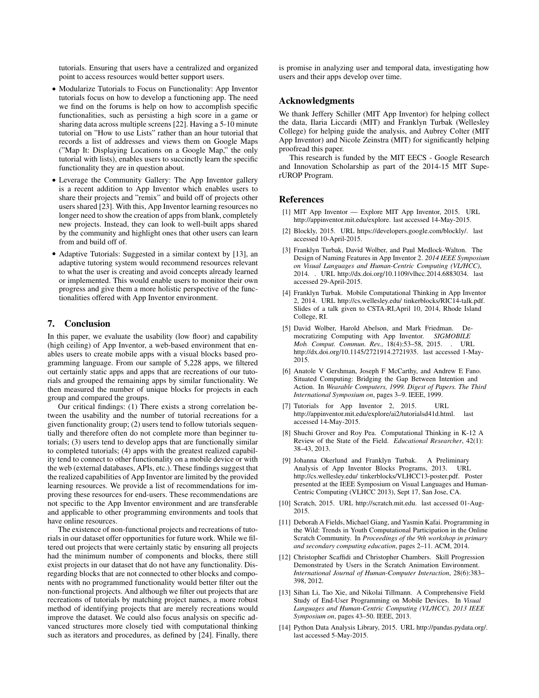tutorials. Ensuring that users have a centralized and organized point to access resources would better support users.

- Modularize Tutorials to Focus on Functionality: App Inventor tutorials focus on how to develop a functioning app. The need we find on the forums is help on how to accomplish specific functionalities, such as persisting a high score in a game or sharing data across multiple screens [22]. Having a 5-10 minute tutorial on "How to use Lists" rather than an hour tutorial that records a list of addresses and views them on Google Maps ("Map It: Displaying Locations on a Google Map," the only tutorial with lists), enables users to succinctly learn the specific functionality they are in question about.
- Leverage the Community Gallery: The App Inventor gallery is a recent addition to App Inventor which enables users to share their projects and "remix" and build off of projects other users shared [23]. With this, App Inventor learning resources no longer need to show the creation of apps from blank, completely new projects. Instead, they can look to well-built apps shared by the community and highlight ones that other users can learn from and build off of.
- Adaptive Tutorials: Suggested in a similar context by [13], an adaptive tutoring system would recommend resources relevant to what the user is creating and avoid concepts already learned or implemented. This would enable users to monitor their own progress and give them a more holistic perspective of the functionalities offered with App Inventor environment.

# 7. Conclusion

In this paper, we evaluate the usability (low floor) and capability (high ceiling) of App Inventor, a web-based environment that enables users to create mobile apps with a visual blocks based programming language. From our sample of 5,228 apps, we filtered out certainly static apps and apps that are recreations of our tutorials and grouped the remaining apps by similar functionality. We then measured the number of unique blocks for projects in each group and compared the groups.

Our critical findings: (1) There exists a strong correlation between the usability and the number of tutorial recreations for a given functionality group; (2) users tend to follow tutorials sequentially and therefore often do not complete more than beginner tutorials; (3) users tend to develop apps that are functionally similar to completed tutorials; (4) apps with the greatest realized capability tend to connect to other functionality on a mobile device or with the web (external databases, APIs, etc.). These findings suggest that the realized capabilities of App Inventor are limited by the provided learning resources. We provide a list of recommendations for improving these resources for end-users. These recommendations are not specific to the App Inventor environment and are transferable and applicable to other programming environments and tools that have online resources.

The existence of non-functional projects and recreations of tutorials in our dataset offer opportunities for future work. While we filtered out projects that were certainly static by ensuring all projects had the minimum number of components and blocks, there still exist projects in our dataset that do not have any functionality. Disregarding blocks that are not connected to other blocks and components with no programmed functionality would better filter out the non-functional projects. And although we filter out projects that are recreations of tutorials by matching project names, a more robust method of identifying projects that are merely recreations would improve the dataset. We could also focus analysis on specific advanced structures more closely tied with computational thinking such as iterators and procedures, as defined by [24]. Finally, there is promise in analyzing user and temporal data, investigating how users and their apps develop over time.

# Acknowledgments

We thank Jeffery Schiller (MIT App Inventor) for helping collect the data, Ilaria Liccardi (MIT) and Franklyn Turbak (Wellesley College) for helping guide the analysis, and Aubrey Colter (MIT App Inventor) and Nicole Zeinstra (MIT) for significantly helping proofread this paper.

This research is funded by the MIT EECS - Google Research and Innovation Scholarship as part of the 2014-15 MIT SuperUROP Program.

## References

- [1] MIT App Inventor Explore MIT App Inventor, 2015. URL http://appinventor.mit.edu/explore. last accessed 14-May-2015.
- [2] Blockly, 2015. URL https://developers.google.com/blockly/. last accessed 10-April-2015.
- [3] Franklyn Turbak, David Wolber, and Paul Medlock-Walton. The Design of Naming Features in App Inventor 2. *2014 IEEE Symposium on Visual Languages and Human-Centric Computing (VL/HCC)*, 2014. . URL http://dx.doi.org/10.1109/vlhcc.2014.6883034. last accessed 29-April-2015.
- [4] Franklyn Turbak. Mobile Computational Thinking in App Inventor 2, 2014. URL http://cs.wellesley.edu/ tinkerblocks/RIC14-talk.pdf. Slides of a talk given to CSTA-RI,April 10, 2014, Rhode Island College, RI.
- [5] David Wolber, Harold Abelson, and Mark Friedman. Democratizing Computing with App Inventor. *SIGMOBILE Mob. Comput. Commun. Rev.*, 18(4):53–58, 2015. . URL http://dx.doi.org/10.1145/2721914.2721935. last accessed 1-May-2015.
- [6] Anatole V Gershman, Joseph F McCarthy, and Andrew E Fano. Situated Computing: Bridging the Gap Between Intention and Action. In *Wearable Computers, 1999. Digest of Papers. The Third International Symposium on*, pages 3–9. IEEE, 1999.
- [7] Tutorials for App Inventor 2, 2015. URL http://appinventor.mit.edu/explore/ai2/tutorialsd41d.html. last accessed 14-May-2015.
- [8] Shuchi Grover and Roy Pea. Computational Thinking in K-12 A Review of the State of the Field. *Educational Researcher*, 42(1): 38–43, 2013.
- [9] Johanna Okerlund and Franklyn Turbak. A Preliminary Analysis of App Inventor Blocks Programs, 2013. URL http://cs.wellesley.edu/ tinkerblocks/VLHCC13-poster.pdf. Poster presented at the IEEE Symposium on Visual Languages and Human-Centric Computing (VLHCC 2013), Sept 17, San Jose, CA.
- [10] Scratch, 2015. URL http://scratch.mit.edu. last accessed 01-Aug-2015.
- [11] Deborah A Fields, Michael Giang, and Yasmin Kafai. Programming in the Wild: Trends in Youth Computational Participation in the Online Scratch Community. In *Proceedings of the 9th workshop in primary and secondary computing education*, pages 2–11. ACM, 2014.
- [12] Christopher Scaffidi and Christopher Chambers. Skill Progression Demonstrated by Users in the Scratch Animation Environment. *International Journal of Human-Computer Interaction*, 28(6):383– 398, 2012.
- [13] Sihan Li, Tao Xie, and Nikolai Tillmann. A Comprehensive Field Study of End-User Programming on Mobile Devices. In *Visual Languages and Human-Centric Computing (VL/HCC), 2013 IEEE Symposium on*, pages 43–50. IEEE, 2013.
- [14] Python Data Analysis Library, 2015. URL http://pandas.pydata.org/. last accessed 5-May-2015.